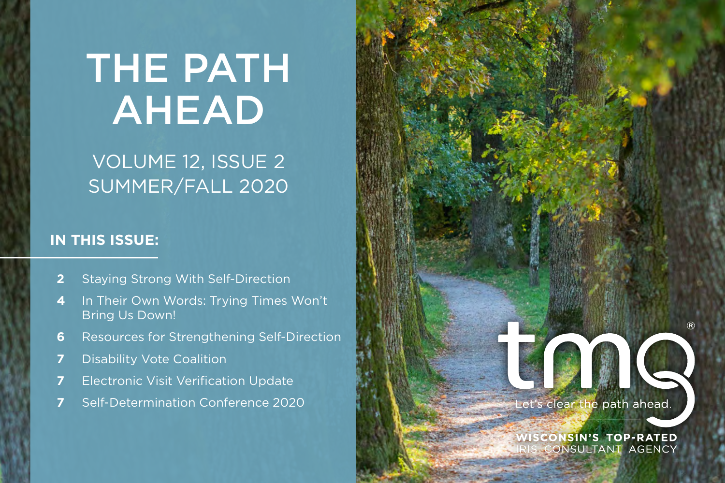# THE PATH AHEAD

# VOLUME 12, ISSUE 2 SUMMER/FALL 2020

### **IN THIS ISSUE:**

- **2** [Staying Strong With Self-Direction](#page-1-0)
- **4** In Their Own Words: Trying Times Won't Bring Us Down!
- **6** [Resources for Strengthening Self-Direction](#page-5-0)
- **7** [Disability Vote Coalition](#page-6-0)
- **7** [Electronic Visit Verification Update](#page-6-1)
- **7** [Self-Determination Conference 2020](#page-6-2)

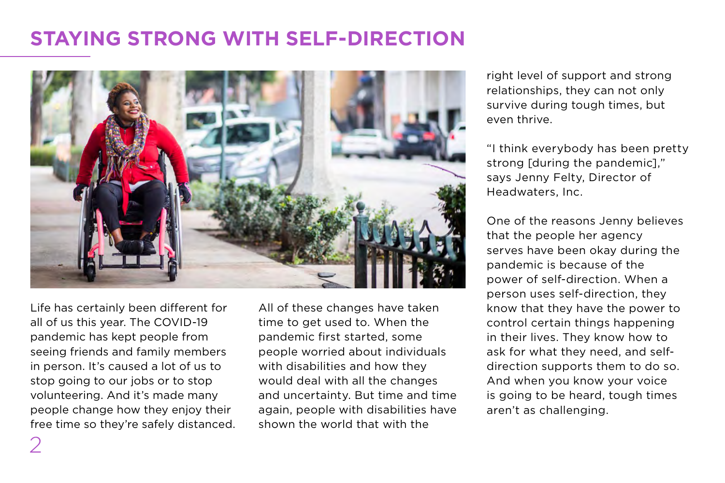# <span id="page-1-0"></span>**STAYING STRONG WITH SELF-DIRECTION**



Life has certainly been different for all of us this year. The COVID-19 pandemic has kept people from seeing friends and family members in person. It's caused a lot of us to stop going to our jobs or to stop volunteering. And it's made many people change how they enjoy their free time so they're safely distanced. All of these changes have taken time to get used to. When the pandemic first started, some people worried about individuals with disabilities and how they would deal with all the changes and uncertainty. But time and time again, people with disabilities have shown the world that with the

right level of support and strong relationships, they can not only survive during tough times, but even thrive.

"I think everybody has been pretty strong [during the pandemic]," says Jenny Felty, Director of Headwaters, Inc.

One of the reasons Jenny believes that the people her agency serves have been okay during the pandemic is because of the power of self-direction. When a person uses self-direction, they know that they have the power to control certain things happening in their lives. They know how to ask for what they need, and selfdirection supports them to do so. And when you know your voice is going to be heard, tough times aren't as challenging.

2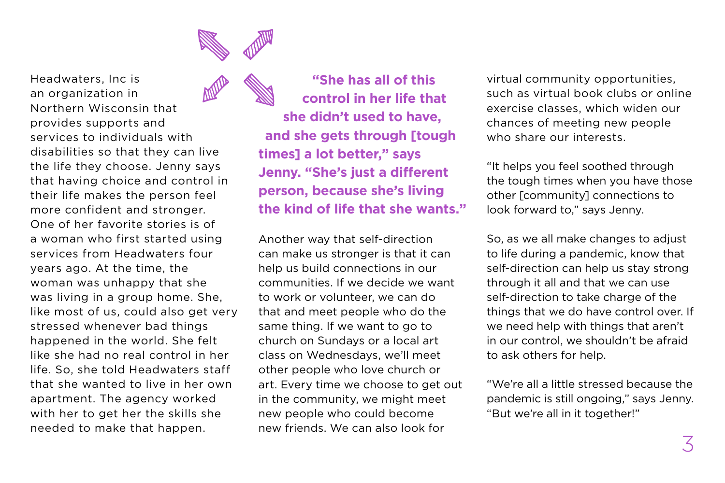

Headwaters, Inc is an organization in Northern Wisconsin that provides supports and services to individuals with disabilities so that they can live the life they choose. Jenny says that having choice and control in their life makes the person feel more confident and stronger. One of her favorite stories is of a woman who first started using services from Headwaters four years ago. At the time, the woman was unhappy that she was living in a group home. She, like most of us, could also get very stressed whenever bad things happened in the world. She felt like she had no real control in her life. So, she told Headwaters staff that she wanted to live in her own apartment. The agency worked with her to get her the skills she needed to make that happen.

**"She has all of this control in her life that she didn't used to have, and she gets through [tough times] a lot better," says Jenny. "She's just a different person, because she's living the kind of life that she wants."**

Another way that self-direction can make us stronger is that it can help us build connections in our communities. If we decide we want to work or volunteer, we can do that and meet people who do the same thing. If we want to go to church on Sundays or a local art class on Wednesdays, we'll meet other people who love church or art. Every time we choose to get out in the community, we might meet new people who could become new friends. We can also look for

virtual community opportunities, such as virtual book clubs or online exercise classes, which widen our chances of meeting new people who share our interests.

"It helps you feel soothed through the tough times when you have those other [community] connections to look forward to," says Jenny.

So, as we all make changes to adjust to life during a pandemic, know that self-direction can help us stay strong through it all and that we can use self-direction to take charge of the things that we do have control over. If we need help with things that aren't in our control, we shouldn't be afraid to ask others for help.

"We're all a little stressed because the pandemic is still ongoing," says Jenny. "But we're all in it together!"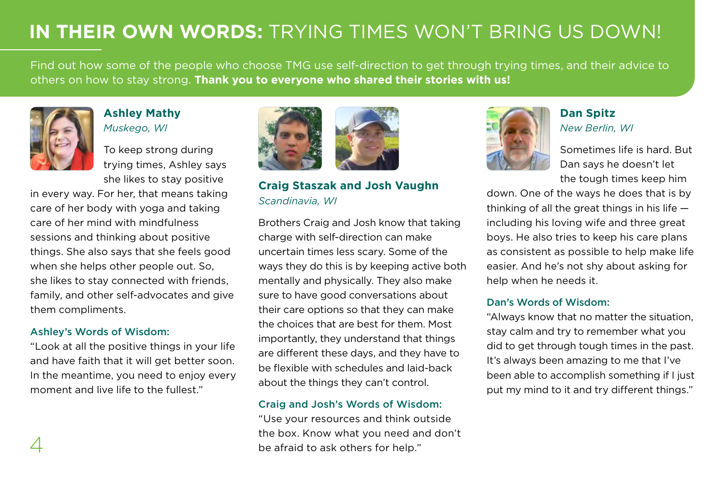# **IN THEIR OWN WORDS:** TRYING TIMES WON'T BRING US DOWN!

Find out how some of the people who choose TMG use self-direction to get through trying times, and their advice to others on how to stay strong. **Thank you to everyone who shared their stories with us!**



### **Ashley Mathy**  *Muskego, WI*

To keep strong during trying times, Ashley says she likes to stay positive

in every way. For her, that means taking care of her body with yoga and taking care of her mind with mindfulness sessions and thinking about positive things. She also says that she feels good when she helps other people out. So, she likes to stay connected with friends, family, and other self-advocates and give them compliments.

### Ashley's Words of Wisdom:

"Look at all the positive things in your life and have faith that it will get better soon. In the meantime, you need to enjoy every moment and live life to the fullest."





**Craig Staszak and Josh Vaughn** *Scandinavia, WI*

Brothers Craig and Josh know that taking charge with self-direction can make uncertain times less scary. Some of the ways they do this is by keeping active both mentally and physically. They also make sure to have good conversations about their care options so that they can make the choices that are best for them. Most importantly, they understand that things are different these days, and they have to be flexible with schedules and laid-back about the things they can't control.

#### Craig and Josh's Words of Wisdom:

"Use your resources and think outside the box. Know what you need and don't be afraid to ask others for help."



### **Dan Spitz** *New Berlin, WI*

Sometimes life is hard. But Dan says he doesn't let the tough times keep him

down. One of the ways he does that is by thinking of all the great things in his life including his loving wife and three great boys. He also tries to keep his care plans as consistent as possible to help make life easier. And he's not shy about asking for help when he needs it.

### Dan's Words of Wisdom:

"Always know that no matter the situation, stay calm and try to remember what you did to get through tough times in the past. It's always been amazing to me that I've been able to accomplish something if I just put my mind to it and try different things."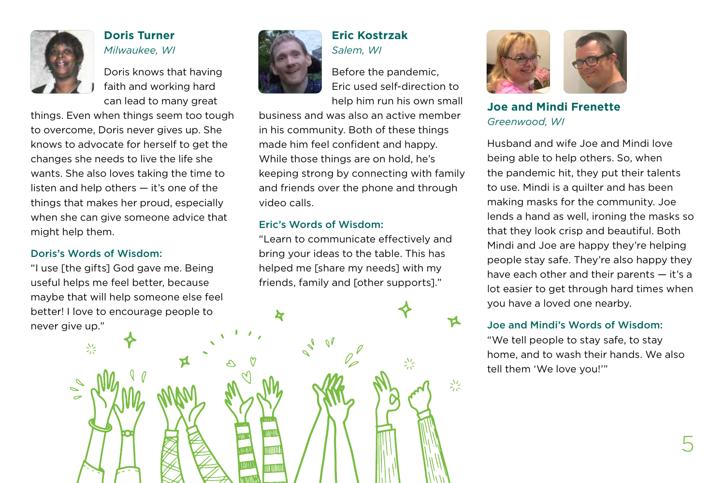

### **Doris Turner** *Milwaukee, WI*

Doris knows that having faith and working hard can lead to many great

things. Even when things seem too tough to overcome, Doris never gives up. She knows to advocate for herself to get the changes she needs to live the life she wants. She also loves taking the time to listen and help others — it's one of the things that makes her proud, especially when she can give someone advice that might help them.

#### Doris's Words of Wisdom:

兴

"I use [the gifts] God gave me. Being useful helps me feel better, because maybe that will help someone else feel better! I love to encourage people to never give up."



### **Eric Kostrzak**  *Salem, WI*

Before the pandemic, Eric used self-direction to help him run his own small

兴

兴

business and was also an active member in his community. Both of these things made him feel confident and happy. While those things are on hold, he's keeping strong by connecting with family and friends over the phone and through video calls.

#### Eric's Words of Wisdom:

**k** 

II IIIII

"Learn to communicate effectively and bring your ideas to the table. This has helped me [share my needs] with my friends, family and [other supports]."



**Joe and Mindi Frenette** *Greenwood, WI*

Husband and wife Joe and Mindi love being able to help others. So, when the pandemic hit, they put their talents to use. Mindi is a quilter and has been making masks for the community. Joe lends a hand as well, ironing the masks so that they look crisp and beautiful. Both Mindi and Joe are happy they're helping people stay safe. They're also happy they have each other and their parents — it's a lot easier to get through hard times when you have a loved one nearby.

### Joe and Mindi's Words of Wisdom:

"We tell people to stay safe, to stay home, and to wash their hands. We also tell them 'We love you!'"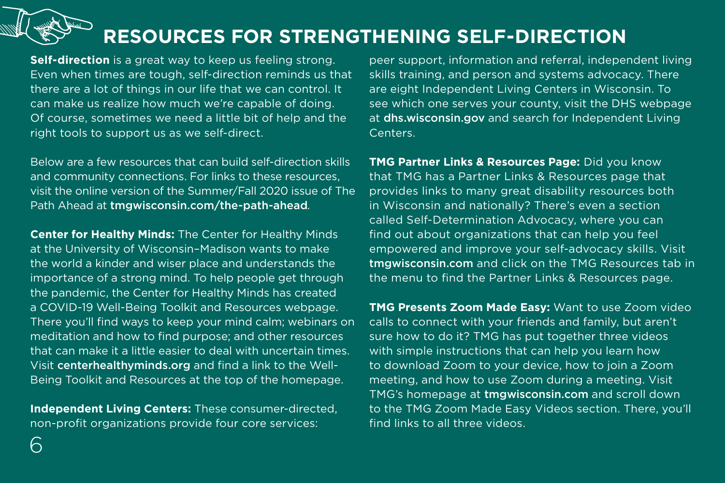# <span id="page-5-0"></span>**RESOURCES FOR STRENGTHENING SELF-DIRECTION**

**Self-direction** is a great way to keep us feeling strong. Even when times are tough, self-direction reminds us that there are a lot of things in our life that we can control. It can make us realize how much we're capable of doing. Of course, sometimes we need a little bit of help and the right tools to support us as we self-direct.

Below are a few resources that can build self-direction skills and community connections. For links to these resources, visit the online version of the Summer/Fall 2020 issue of The Path Ahead at [tmgwisconsin.com/the-path-ahead](http://tmgwisconsin.com/the-path-ahead)*.*

**[Center for Healthy Minds](https://centerhealthyminds.org/well-being-toolkit-covid19):** The Center for Healthy Minds at the University of Wisconsin–Madison wants to make the world a kinder and wiser place and understands the importance of a strong mind. To help people get through the pandemic, the Center for Healthy Minds has created a COVID-19 Well-Being Toolkit and Resources webpage. There you'll find ways to keep your mind calm; webinars on meditation and how to find purpose; and other resources that can make it a little easier to deal with uncertain times. Visit [centerhealthyminds.org](https://centerhealthyminds.org/well-being-toolkit-covid19) and find a link to the Well-Being Toolkit and Resources at the top of the homepage.

**[Independent Living Centers:](https://www.dhs.wisconsin.gov/disabilities/physical/ilcs-contact.htm#options)** These consumer-directed, non-profit organizations provide four core services:

peer support, information and referral, independent living skills training, and person and systems advocacy. There are eight Independent Living Centers in Wisconsin. To see which one serves your county, visit the DHS webpage at [dhs.wisconsin.gov](https://www.dhs.wisconsin.gov/disabilities/physical/ilcs-contact.htm#options) and search for Independent Living Centers.

**[TMG Partner Links & Resources Page](http://tmgwisconsin.com/tmg-resources/partner-links/):** Did you know that TMG has a Partner Links & Resources page that provides links to many great disability resources both in Wisconsin and nationally? There's even a section called Self-Determination Advocacy, where you can find out about organizations that can help you feel empowered and improve your self-advocacy skills. Visit [tmgwisconsin.com](http://tmgwisconsin.com/tmg-resources/partner-links/) and click on the TMG Resources tab in the menu to find the Partner Links & Resources page.

**[TMG Presents Zoom Made Easy:](http://tmgwisconsin.com/)** Want to use Zoom video calls to connect with your friends and family, but aren't sure how to do it? TMG has put together three videos with simple instructions that can help you learn how to download Zoom to your device, how to join a Zoom meeting, and how to use Zoom during a meeting. Visit TMG's homepage at [tmgwisconsin.com](http://tmgwisconsin.com) and scroll down to the TMG Zoom Made Easy Videos section. There, you'll find links to all three videos.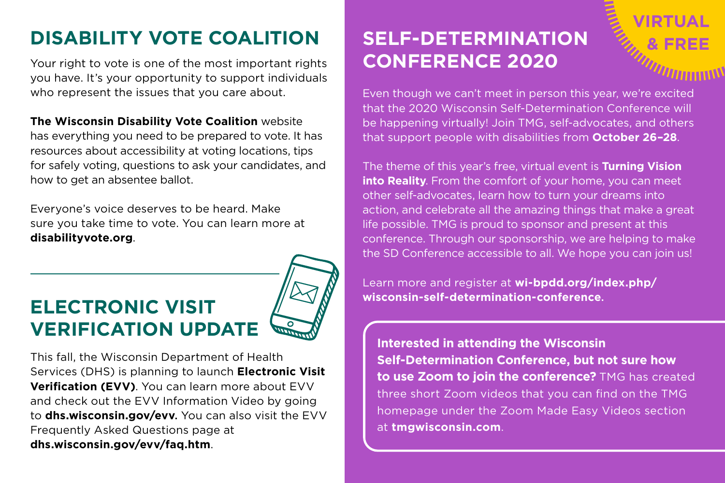# <span id="page-6-0"></span>**DISABILITY VOTE COALITION**

Your right to vote is one of the most important rights you have. It's your opportunity to support individuals who represent the issues that you care about.

**[The Wisconsin Disability Vote Coalition](https://disabilityvote.org/)** website has everything you need to be prepared to vote. It has resources about accessibility at voting locations, tips for safely voting, questions to ask your candidates, and how to get an absentee ballot.

Everyone's voice deserves to be heard. Make sure you take time to vote. You can learn more at **[disabilityvote.org](http://disabilityvote.org)**.

# <span id="page-6-1"></span>**ELECTRONIC VISIT VERIFICATION UPDATE**



This fall, the Wisconsin Department of Health Services (DHS) is planning to launch **Electronic Visit Verification (EVV)**. You can learn more about EVV and check out the EVV Information Video by going to **[dhs.wisconsin.gov/evv](http://dhs.wisconsin.gov/evv)**. You can also visit the EVV Frequently Asked Questions page at **[dhs.wisconsin.gov/evv/faq.htm](http://dhs.wisconsin.gov/evv/faq.htm)**.

# <span id="page-6-2"></span>**SELF-DETERMINATION CONFERENCE 2020**

Even though we can't meet in person this year, we're excited that the 2020 Wisconsin Self-Determination Conference will be happening virtually! Join TMG, self-advocates, and others that support people with disabilities from **October 26–28**.

The theme of this year's free, virtual event is **Turning Vision into Reality**. From the comfort of your home, you can meet other self-advocates, learn how to turn your dreams into action, and celebrate all the amazing things that make a great life possible. TMG is proud to sponsor and present at this conference. Through our sponsorship, we are helping to make the SD Conference accessible to all. We hope you can join us!

Learn more and register at **[wi-bpdd.org/index.php/](http://wi-bpdd.org/index.php/wisconsin-self-determination-conference) [wisconsin-self-determination-conference](http://wi-bpdd.org/index.php/wisconsin-self-determination-conference)**.

**Interested in attending the Wisconsin Self-Determination Conference, but not sure how to use Zoom to join the conference?** TMG has created three short Zoom videos that you can find on the TMG homepage under the Zoom Made Easy Videos section at **[tmgwisconsin.com](http://tmgwisconsin.com)**.

7

**VIRTUAL**

**& FREE**